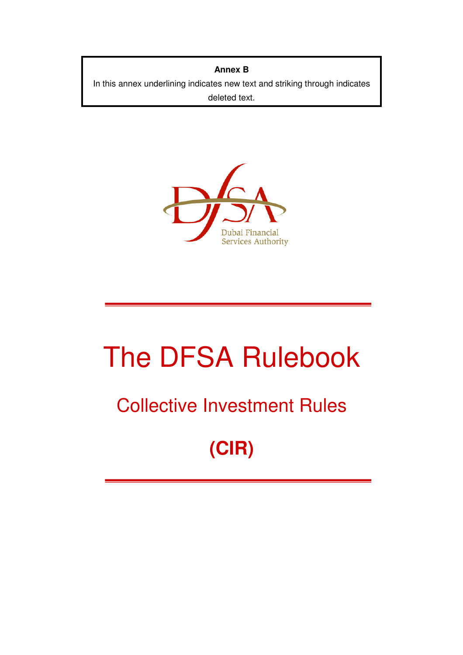#### **Annex B**

In this annex underlining indicates new text and striking through indicates deleted text.



# The DFSA Rulebook

# Collective Investment Rules

**(CIR)**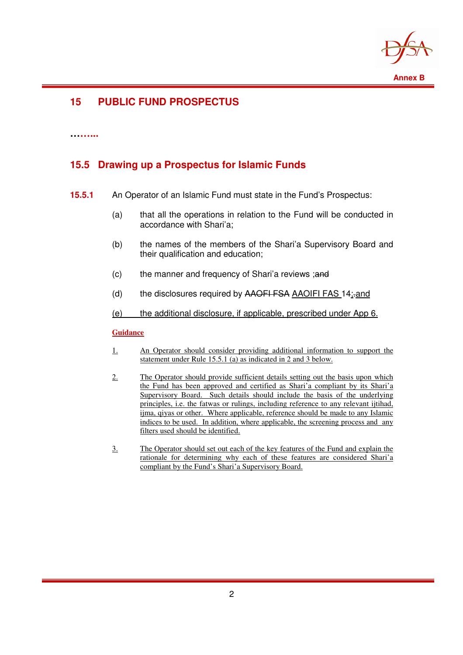

# **15 PUBLIC FUND PROSPECTUS**

#### **……...**

### **15.5 Drawing up a Prospectus for Islamic Funds**

- **15.5.1** An Operator of an Islamic Fund must state in the Fund's Prospectus:
	- (a) that all the operations in relation to the Fund will be conducted in accordance with Shari'a;
	- (b) the names of the members of the Shari'a Supervisory Board and their qualification and education;
	- (c) the manner and frequency of Shari'a reviews ; and
	- (d) the disclosures required by AAOFI FSA AAOIFI FAS 14; and
	- (e) the additional disclosure, if applicable, prescribed under App 6.

#### **Guidance**

- 1. An Operator should consider providing additional information to support the statement under Rule 15.5.1 (a) as indicated in 2 and 3 below.
- 2. The Operator should provide sufficient details setting out the basis upon which the Fund has been approved and certified as Shari'a compliant by its Shari'a Supervisory Board. Such details should include the basis of the underlying principles, i.e. the fatwas or rulings, including reference to any relevant ijtihad, ijma, qiyas or other. Where applicable, reference should be made to any Islamic indices to be used. In addition, where applicable, the screening process and any filters used should be identified.
- 3. The Operator should set out each of the key features of the Fund and explain the rationale for determining why each of these features are considered Shari'a compliant by the Fund's Shari'a Supervisory Board.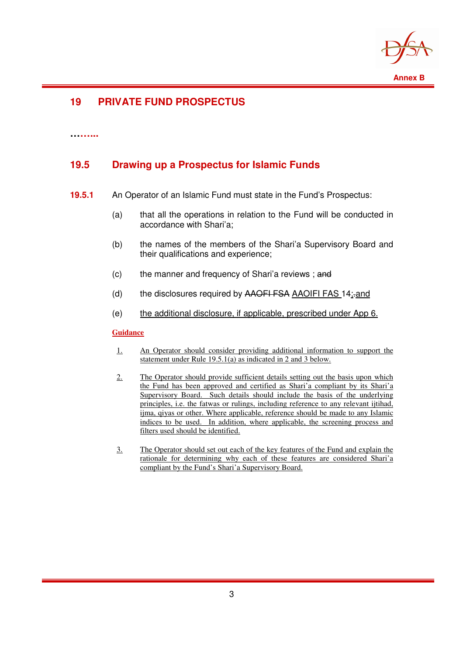

## **19 PRIVATE FUND PROSPECTUS**

#### **……...**

#### **19.5 Drawing up a Prospectus for Islamic Funds**

#### **19.5.1** An Operator of an Islamic Fund must state in the Fund's Prospectus:

- (a) that all the operations in relation to the Fund will be conducted in accordance with Shari'a;
- (b) the names of the members of the Shari'a Supervisory Board and their qualifications and experience;
- (c) the manner and frequency of Shari'a reviews ; and
- (d) the disclosures required by AAOFI FSA AAOIFI FAS 14;-and
- (e) the additional disclosure, if applicable, prescribed under App 6.

#### **Guidance**

- 1. An Operator should consider providing additional information to support the statement under Rule 19.5.1(a) as indicated in 2 and 3 below.
- 2. The Operator should provide sufficient details setting out the basis upon which the Fund has been approved and certified as Shari'a compliant by its Shari'a Supervisory Board. Such details should include the basis of the underlying principles, i.e. the fatwas or rulings, including reference to any relevant ijtihad, ijma, qiyas or other. Where applicable, reference should be made to any Islamic indices to be used. In addition, where applicable, the screening process and filters used should be identified.
- 3. The Operator should set out each of the key features of the Fund and explain the rationale for determining why each of these features are considered Shari'a compliant by the Fund's Shari'a Supervisory Board.